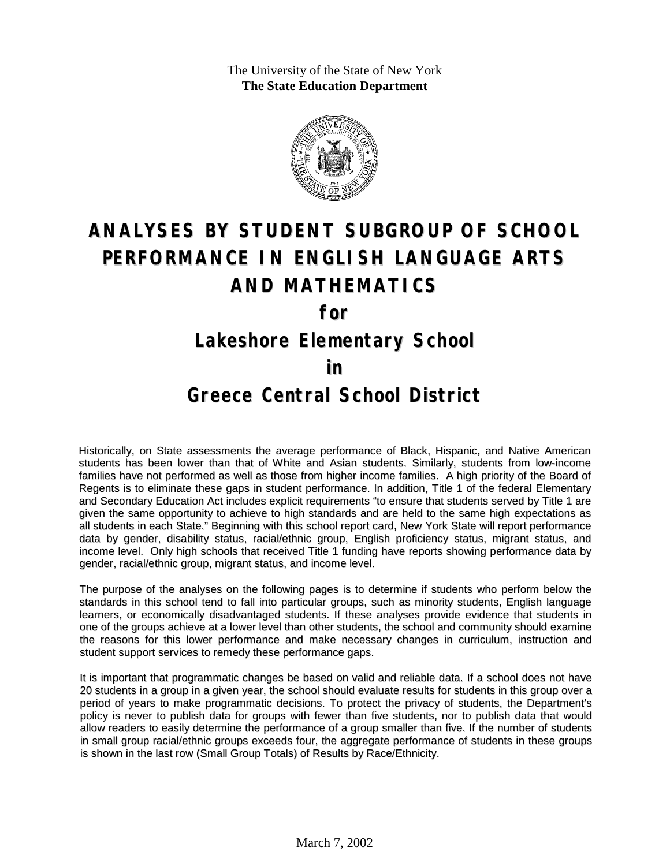The University of the State of New York **The State Education Department**



# **ANALYSES BY STUDENT SUBGROUP OF SCHOOL PERFORMANCE IN ENGLISH LANGUAGE ARTS AND MATHEMATICS**

**for**

### **Lakeshore Elementary School**

#### **in**

#### **Greece Central School District**

Historically, on State assessments the average performance of Black, Hispanic, and Native American students has been lower than that of White and Asian students. Similarly, students from low-income families have not performed as well as those from higher income families. A high priority of the Board of Regents is to eliminate these gaps in student performance. In addition, Title 1 of the federal Elementary and Secondary Education Act includes explicit requirements "to ensure that students served by Title 1 are given the same opportunity to achieve to high standards and are held to the same high expectations as all students in each State." Beginning with this school report card, New York State will report performance data by gender, disability status, racial/ethnic group, English proficiency status, migrant status, and income level. Only high schools that received Title 1 funding have reports showing performance data by gender, racial/ethnic group, migrant status, and income level.

The purpose of the analyses on the following pages is to determine if students who perform below the standards in this school tend to fall into particular groups, such as minority students, English language learners, or economically disadvantaged students. If these analyses provide evidence that students in one of the groups achieve at a lower level than other students, the school and community should examine the reasons for this lower performance and make necessary changes in curriculum, instruction and student support services to remedy these performance gaps.

It is important that programmatic changes be based on valid and reliable data. If a school does not have 20 students in a group in a given year, the school should evaluate results for students in this group over a period of years to make programmatic decisions. To protect the privacy of students, the Department's policy is never to publish data for groups with fewer than five students, nor to publish data that would allow readers to easily determine the performance of a group smaller than five. If the number of students in small group racial/ethnic groups exceeds four, the aggregate performance of students in these groups is shown in the last row (Small Group Totals) of Results by Race/Ethnicity.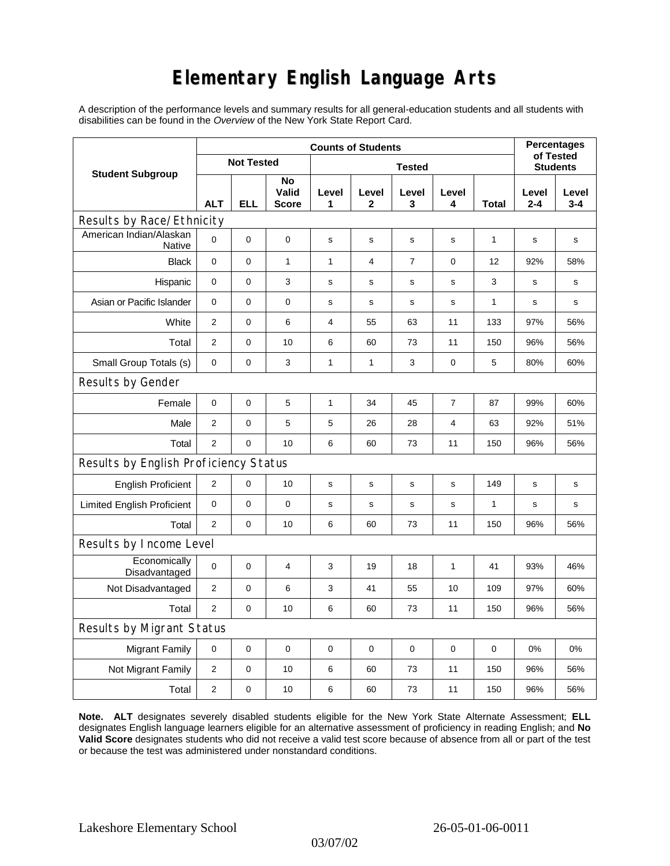## **Elementary English Language Arts**

A description of the performance levels and summary results for all general-education students and all students with disabilities can be found in the *Overview* of the New York State Report Card.

|                                       | <b>Counts of Students</b> |             |                      |               |                |                |                  |              | <b>Percentages</b><br>of Tested |                  |  |
|---------------------------------------|---------------------------|-------------|----------------------|---------------|----------------|----------------|------------------|--------------|---------------------------------|------------------|--|
| <b>Student Subgroup</b>               | <b>Not Tested</b>         |             |                      | <b>Tested</b> |                |                |                  |              | <b>Students</b>                 |                  |  |
|                                       | <b>ALT</b>                | <b>ELL</b>  | No<br>Valid<br>Score | Level<br>1    | Level<br>2     | Level<br>3     | Level<br>4       | Total        | Level<br>$2 - 4$                | Level<br>$3 - 4$ |  |
| Results by Race/Ethnicity             |                           |             |                      |               |                |                |                  |              |                                 |                  |  |
| American Indian/Alaskan<br>Native     | $\Omega$                  | $\mathbf 0$ | 0                    | $\mathbf S$   | $\mathsf{s}$   | s              | s                | $\mathbf{1}$ | $\mathbf s$                     | s                |  |
| <b>Black</b>                          | $\mathbf 0$               | $\mathbf 0$ | $\mathbf{1}$         | $\mathbf{1}$  | $\overline{4}$ | $\overline{7}$ | 0                | 12           | 92%                             | 58%              |  |
| Hispanic                              | 0                         | 0           | 3                    | s             | s              | s              | s                | 3            | s                               | s                |  |
| Asian or Pacific Islander             | 0                         | 0           | 0                    | $\mathbf s$   | $\mathbf s$    | $\mathbf s$    | $\mathbf s$      | 1            | s                               | s                |  |
| White                                 | $\overline{2}$            | 0           | 6                    | 4             | 55             | 63             | 11               | 133          | 97%                             | 56%              |  |
| Total                                 | 2                         | 0           | 10                   | 6             | 60             | 73             | 11               | 150          | 96%                             | 56%              |  |
| Small Group Totals (s)                | 0                         | 0           | 3                    | 1             | $\mathbf{1}$   | 3              | 0                | 5            | 80%                             | 60%              |  |
| Results by Gender                     |                           |             |                      |               |                |                |                  |              |                                 |                  |  |
| Female                                | $\mathbf 0$               | 0           | 5                    | $\mathbf{1}$  | 34             | 45             | $\boldsymbol{7}$ | 87           | 99%                             | 60%              |  |
| Male                                  | $\overline{2}$            | 0           | 5                    | 5             | 26             | 28             | 4                | 63           | 92%                             | 51%              |  |
| Total                                 | $\overline{2}$            | 0           | 10                   | 6             | 60             | 73             | 11               | 150          | 96%                             | 56%              |  |
| Results by English Proficiency Status |                           |             |                      |               |                |                |                  |              |                                 |                  |  |
| <b>English Proficient</b>             | 2                         | 0           | 10                   | $\mathbf s$   | $\mathbf s$    | s              | s                | 149          | s                               | $\mathbf s$      |  |
| <b>Limited English Proficient</b>     | 0                         | 0           | 0                    | $\mathbf s$   | $\mathbf S$    | $\mathbf s$    | s                | $\mathbf{1}$ | $\mathbf s$                     | s                |  |
| Total                                 | $\overline{2}$            | $\pmb{0}$   | 10                   | 6             | 60             | 73             | 11               | 150          | 96%                             | 56%              |  |
| Results by Income Level               |                           |             |                      |               |                |                |                  |              |                                 |                  |  |
| Economically<br>Disadvantaged         | 0                         | 0           | 4                    | 3             | 19             | 18             | 1                | 41           | 93%                             | 46%              |  |
| Not Disadvantaged                     | 2                         | 0           | 6                    | 3             | 41             | 55             | 10               | 109          | 97%                             | 60%              |  |
| Total                                 | $\overline{2}$            | $\mathbf 0$ | 10                   | 6             | 60             | 73             | 11               | 150          | 96%                             | 56%              |  |
| Results by Migrant Status             |                           |             |                      |               |                |                |                  |              |                                 |                  |  |
| <b>Migrant Family</b>                 | 0                         | 0           | 0                    | $\pmb{0}$     | 0              | 0              | $\pmb{0}$        | 0            | 0%                              | 0%               |  |
| Not Migrant Family                    | 2                         | $\mathbf 0$ | 10                   | 6             | 60             | 73             | 11               | 150          | 96%                             | 56%              |  |
| Total                                 | $\overline{2}$            | 0           | 10                   | 6             | 60             | 73             | 11               | 150          | 96%                             | 56%              |  |

**Note. ALT** designates severely disabled students eligible for the New York State Alternate Assessment; **ELL** designates English language learners eligible for an alternative assessment of proficiency in reading English; and **No Valid Score** designates students who did not receive a valid test score because of absence from all or part of the test or because the test was administered under nonstandard conditions.

03/07/02